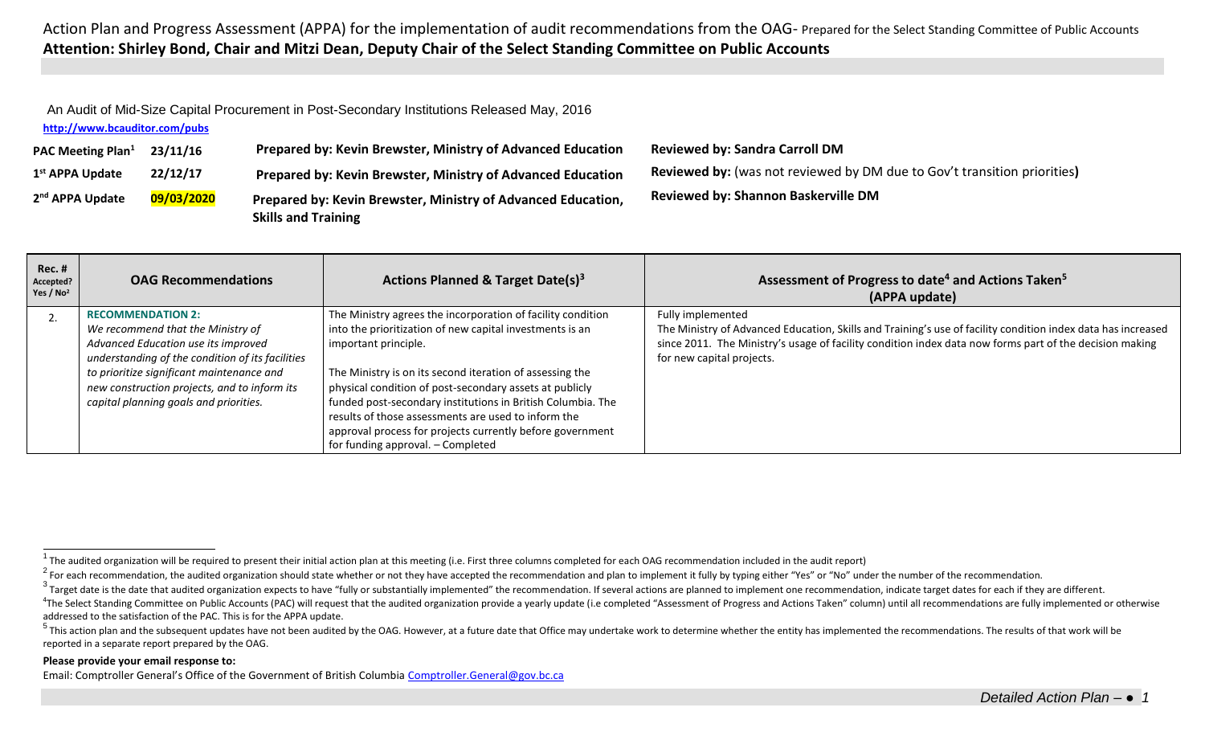Action Plan and Progress Assessment (APPA) for the implementation of audit recommendations from the OAG- Prepared for the Select Standing Committee of Public Accounts **Attention: Shirley Bond, Chair and Mitzi Dean, Deputy Chair of the Select Standing Committee on Public Accounts**

<span id="page-0-4"></span><span id="page-0-3"></span><span id="page-0-2"></span><span id="page-0-1"></span><span id="page-0-0"></span>An Audit of Mid-Size Capital Procurement in Post-Secondary Institutions Released May, 2016

**<http://www.bcauditor.com/pubs>**

| <b>PAC Meeting Plan</b> <sup>1</sup> | 23/11/16   | Prepared by: Kevin Brewster, Ministry of Advanced Education                                | <b>Reviewed by: Sandra Carroll DM</b>                                           |
|--------------------------------------|------------|--------------------------------------------------------------------------------------------|---------------------------------------------------------------------------------|
| 1 <sup>st</sup> APPA Update          | 22/12/17   | Prepared by: Kevin Brewster, Ministry of Advanced Education                                | <b>Reviewed by:</b> (was not reviewed by DM due to Gov't transition priorities) |
| 2 <sup>nd</sup> APPA Update          | 09/03/2020 | Prepared by: Kevin Brewster, Ministry of Advanced Education,<br><b>Skills and Training</b> | <b>Reviewed by: Shannon Baskerville DM</b>                                      |

| Rec. #<br>Accepted?<br>Yes / $No2$ | <b>OAG Recommendations</b>                                                                                                                                                                                                                                                                      | Actions Planned & Target Date(s) <sup>3</sup>                                                                                                                                                                                                                                                                                                                                                                                                                                                  | Assessment of Progress to date <sup>4</sup> and Actions Taken <sup>5</sup><br>(APPA update)                                                                                                                                                                               |
|------------------------------------|-------------------------------------------------------------------------------------------------------------------------------------------------------------------------------------------------------------------------------------------------------------------------------------------------|------------------------------------------------------------------------------------------------------------------------------------------------------------------------------------------------------------------------------------------------------------------------------------------------------------------------------------------------------------------------------------------------------------------------------------------------------------------------------------------------|---------------------------------------------------------------------------------------------------------------------------------------------------------------------------------------------------------------------------------------------------------------------------|
|                                    | <b>RECOMMENDATION 2:</b><br>We recommend that the Ministry of<br>Advanced Education use its improved<br>understanding of the condition of its facilities<br>to prioritize significant maintenance and<br>new construction projects, and to inform its<br>capital planning goals and priorities. | The Ministry agrees the incorporation of facility condition<br>into the prioritization of new capital investments is an<br>important principle.<br>The Ministry is on its second iteration of assessing the<br>physical condition of post-secondary assets at publicly<br>funded post-secondary institutions in British Columbia. The<br>results of those assessments are used to inform the<br>approval process for projects currently before government<br>for funding approval. - Completed | Fully implemented<br>The Ministry of Advanced Education, Skills and Training's use of facility condition index data has increased<br>since 2011. The Ministry's usage of facility condition index data now forms part of the decision making<br>for new capital projects. |

## **Please provide your email response to:**

Email: Comptroller General's Office of the Government of British Columbia [Comptroller.General@gov.bc.ca](mailto:Comptroller.General@gov.bc.ca)

The audited organization will be required to present their initial action plan at this meeting (i.e. First three columns completed for each OAG recommendation included in the audit report)

 $^2$  For each recommendation, the audited organization should state whether or not they have accepted the recommendation and plan to implement it fully by typing either "Yes" or "No" under the number of the recommendation

 $3$  Target date is the date that audited organization expects to have "fully or substantially implemented" the recommendation. If several actions are planned to implement one recommendation, indicate target dates for each

<sup>&</sup>lt;sup>4</sup>The Select Standing Committee on Public Accounts (PAC) will request that the audited organization provide a yearly update (i.e completed "Assessment of Progress and Actions Taken" column) until all recommendations are f addressed to the satisfaction of the PAC. This is for the APPA update.

<sup>&</sup>lt;sup>5</sup> This action plan and the subsequent updates have not been audited by the OAG. However, at a future date that Office may undertake work to determine whether the entity has implemented the recommendations. The results of reported in a separate report prepared by the OAG.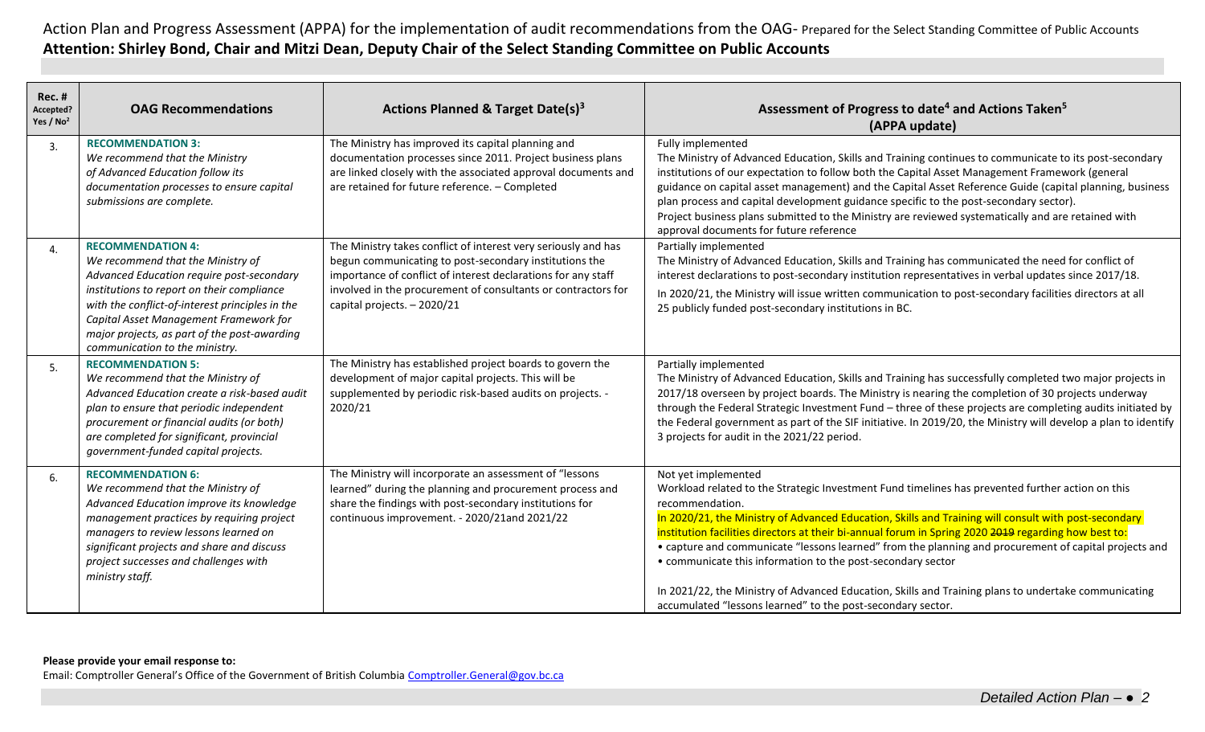Action Plan and Progress Assessment (APPA) for the implementation of audit recommendations from the OAG- Prepared for the Select Standing Committee of Public Accounts **Attention: Shirley Bond, Chair and Mitzi Dean, Deputy Chair of the Select Standing Committee on Public Accounts**

| Rec.#<br>Accepted?<br>Yes / No <sup>2</sup> | <b>OAG Recommendations</b>                                                                                                                                                                                                                                                                                                              | <b>Actions Planned &amp; Target Date(s)3</b>                                                                                                                                                                                                                                              | Assessment of Progress to date <sup>4</sup> and Actions Taken <sup>5</sup><br>(APPA update)                                                                                                                                                                                                                                                                                                                                                                                                                                                                                                                                                                                                               |
|---------------------------------------------|-----------------------------------------------------------------------------------------------------------------------------------------------------------------------------------------------------------------------------------------------------------------------------------------------------------------------------------------|-------------------------------------------------------------------------------------------------------------------------------------------------------------------------------------------------------------------------------------------------------------------------------------------|-----------------------------------------------------------------------------------------------------------------------------------------------------------------------------------------------------------------------------------------------------------------------------------------------------------------------------------------------------------------------------------------------------------------------------------------------------------------------------------------------------------------------------------------------------------------------------------------------------------------------------------------------------------------------------------------------------------|
| 3.                                          | <b>RECOMMENDATION 3:</b><br>We recommend that the Ministry<br>of Advanced Education follow its<br>documentation processes to ensure capital<br>submissions are complete.                                                                                                                                                                | The Ministry has improved its capital planning and<br>documentation processes since 2011. Project business plans<br>are linked closely with the associated approval documents and<br>are retained for future reference. - Completed                                                       | Fully implemented<br>The Ministry of Advanced Education, Skills and Training continues to communicate to its post-secondary<br>institutions of our expectation to follow both the Capital Asset Management Framework (general<br>guidance on capital asset management) and the Capital Asset Reference Guide (capital planning, business<br>plan process and capital development guidance specific to the post-secondary sector).<br>Project business plans submitted to the Ministry are reviewed systematically and are retained with<br>approval documents for future reference                                                                                                                        |
| 4.                                          | <b>RECOMMENDATION 4:</b><br>We recommend that the Ministry of<br>Advanced Education require post-secondary<br>institutions to report on their compliance<br>with the conflict-of-interest principles in the<br>Capital Asset Management Framework for<br>major projects, as part of the post-awarding<br>communication to the ministry. | The Ministry takes conflict of interest very seriously and has<br>begun communicating to post-secondary institutions the<br>importance of conflict of interest declarations for any staff<br>involved in the procurement of consultants or contractors for<br>capital projects. - 2020/21 | Partially implemented<br>The Ministry of Advanced Education, Skills and Training has communicated the need for conflict of<br>interest declarations to post-secondary institution representatives in verbal updates since 2017/18.<br>In 2020/21, the Ministry will issue written communication to post-secondary facilities directors at all<br>25 publicly funded post-secondary institutions in BC.                                                                                                                                                                                                                                                                                                    |
| 5.                                          | <b>RECOMMENDATION 5:</b><br>We recommend that the Ministry of<br>Advanced Education create a risk-based audit<br>plan to ensure that periodic independent<br>procurement or financial audits (or both)<br>are completed for significant, provincial<br>government-funded capital projects.                                              | The Ministry has established project boards to govern the<br>development of major capital projects. This will be<br>supplemented by periodic risk-based audits on projects. -<br>2020/21                                                                                                  | Partially implemented<br>The Ministry of Advanced Education, Skills and Training has successfully completed two major projects in<br>2017/18 overseen by project boards. The Ministry is nearing the completion of 30 projects underway<br>through the Federal Strategic Investment Fund - three of these projects are completing audits initiated by<br>the Federal government as part of the SIF initiative. In 2019/20, the Ministry will develop a plan to identify<br>3 projects for audit in the 2021/22 period.                                                                                                                                                                                    |
| 6.                                          | <b>RECOMMENDATION 6:</b><br>We recommend that the Ministry of<br>Advanced Education improve its knowledge<br>management practices by requiring project<br>managers to review lessons learned on<br>significant projects and share and discuss<br>project successes and challenges with<br>ministry staff.                               | The Ministry will incorporate an assessment of "lessons<br>learned" during the planning and procurement process and<br>share the findings with post-secondary institutions for<br>continuous improvement. - 2020/21and 2021/22                                                            | Not yet implemented<br>Workload related to the Strategic Investment Fund timelines has prevented further action on this<br>recommendation.<br>In 2020/21, the Ministry of Advanced Education, Skills and Training will consult with post-secondary<br>institution facilities directors at their bi-annual forum in Spring 2020 2019 regarding how best to:<br>• capture and communicate "lessons learned" from the planning and procurement of capital projects and<br>• communicate this information to the post-secondary sector<br>In 2021/22, the Ministry of Advanced Education, Skills and Training plans to undertake communicating<br>accumulated "lessons learned" to the post-secondary sector. |

## **Please provide your email response to:**

Email: Comptroller General's Office of the Government of British Columbia [Comptroller.General@gov.bc.ca](mailto:Comptroller.General@gov.bc.ca)